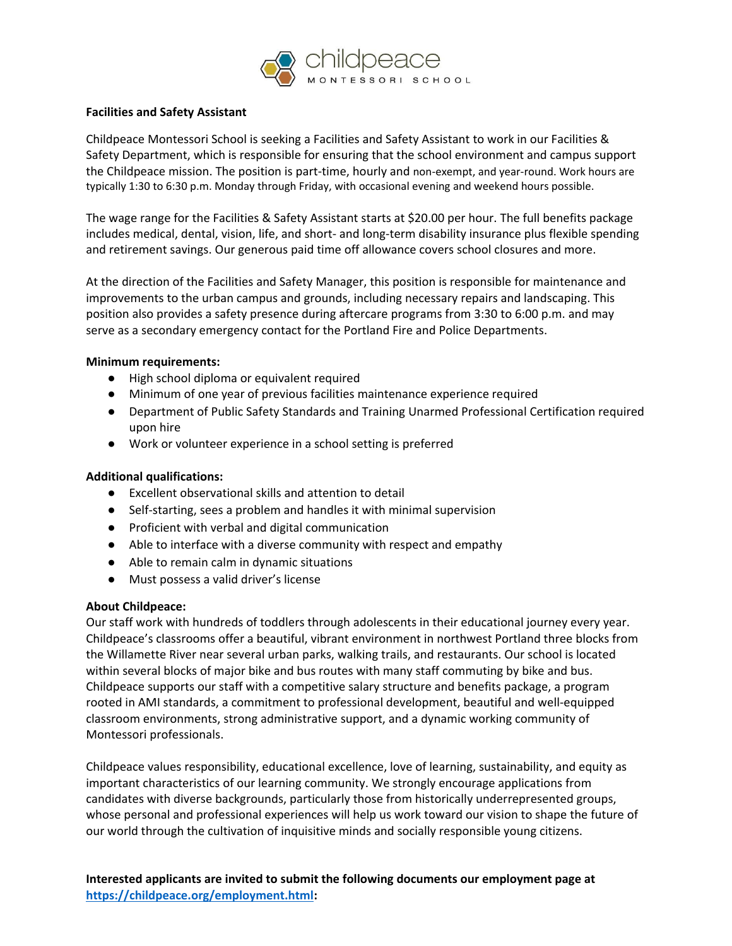

### **Facilities and Safety Assistant**

Childpeace Montessori School is seeking a Facilities and Safety Assistant to work in our Facilities & Safety Department, which is responsible for ensuring that the school environment and campus support the Childpeace mission. The position is part-time, hourly and non-exempt, and year-round. Work hours are typically 1:30 to 6:30 p.m. Monday through Friday, with occasional evening and weekend hours possible.

The wage range for the Facilities & Safety Assistant starts at \$20.00 per hour. The full benefits package includes medical, dental, vision, life, and short- and long-term disability insurance plus flexible spending and retirement savings. Our generous paid time off allowance covers school closures and more.

At the direction of the Facilities and Safety Manager, this position is responsible for maintenance and improvements to the urban campus and grounds, including necessary repairs and landscaping. This position also provides a safety presence during aftercare programs from 3:30 to 6:00 p.m. and may serve as a secondary emergency contact for the Portland Fire and Police Departments.

### **Minimum requirements:**

- High school diploma or equivalent required
- Minimum of one year of previous facilities maintenance experience required
- Department of Public Safety Standards and Training Unarmed Professional Certification required upon hire
- Work or volunteer experience in a school setting is preferred

## **Additional qualifications:**

- Excellent observational skills and attention to detail
- Self-starting, sees a problem and handles it with minimal supervision
- Proficient with verbal and digital communication
- Able to interface with a diverse community with respect and empathy
- Able to remain calm in dynamic situations
- Must possess a valid driver's license

# **About Childpeace:**

Our staff work with hundreds of toddlers through adolescents in their educational journey every year. Childpeace's classrooms offer a beautiful, vibrant environment in northwest Portland three blocks from the Willamette River near several urban parks, walking trails, and restaurants. Our school is located within several blocks of major bike and bus routes with many staff commuting by bike and bus. Childpeace supports our staff with a competitive salary structure and benefits package, a program rooted in AMI standards, a commitment to professional development, beautiful and well-equipped classroom environments, strong administrative support, and a dynamic working community of Montessori professionals.

Childpeace values responsibility, educational excellence, love of learning, sustainability, and equity as important characteristics of our learning community. We strongly encourage applications from candidates with diverse backgrounds, particularly those from historically underrepresented groups, whose personal and professional experiences will help us work toward our vision to shape the future of our world through the cultivation of inquisitive minds and socially responsible young citizens.